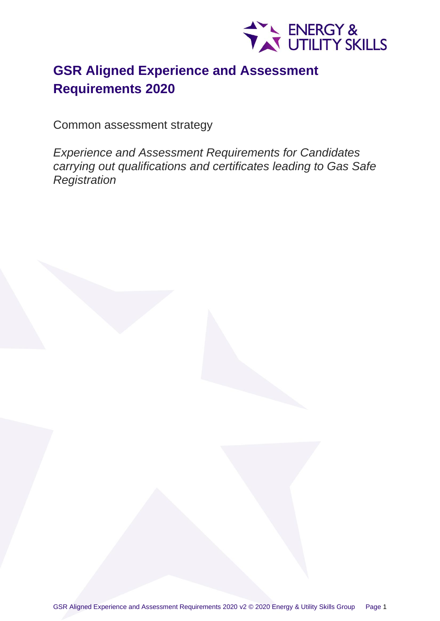

# **GSR Aligned Experience and Assessment Requirements 2020**

Common assessment strategy

*Experience and Assessment Requirements for Candidates carrying out qualifications and certificates leading to Gas Safe Registration*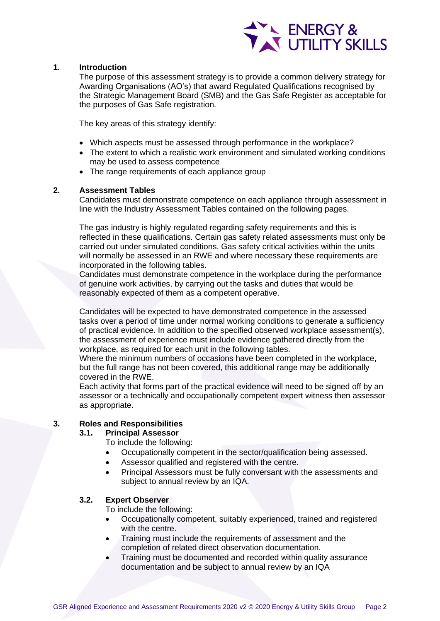

## **1. Introduction**

The purpose of this assessment strategy is to provide a common delivery strategy for Awarding Organisations (AO's) that award Regulated Qualifications recognised by the Strategic Management Board (SMB) and the Gas Safe Register as acceptable for the purposes of Gas Safe registration.

The key areas of this strategy identify:

- Which aspects must be assessed through performance in the workplace?
- The extent to which a realistic work environment and simulated working conditions may be used to assess competence
- The range requirements of each appliance group

## **2. Assessment Tables**

Candidates must demonstrate competence on each appliance through assessment in line with the Industry Assessment Tables contained on the following pages.

The gas industry is highly regulated regarding safety requirements and this is reflected in these qualifications. Certain gas safety related assessments must only be carried out under simulated conditions. Gas safety critical activities within the units will normally be assessed in an RWE and where necessary these requirements are incorporated in the following tables.

Candidates must demonstrate competence in the workplace during the performance of genuine work activities, by carrying out the tasks and duties that would be reasonably expected of them as a competent operative.

Candidates will be expected to have demonstrated competence in the assessed tasks over a period of time under normal working conditions to generate a sufficiency of practical evidence. In addition to the specified observed workplace assessment(s), the assessment of experience must include evidence gathered directly from the workplace, as required for each unit in the following tables.

Where the minimum numbers of occasions have been completed in the workplace, but the full range has not been covered, this additional range may be additionally covered in the RWE.

Each activity that forms part of the practical evidence will need to be signed off by an assessor or a technically and occupationally competent expert witness then assessor as appropriate.

## **3. Roles and Responsibilities**

## **3.1. Principal Assessor**

To include the following:

- Occupationally competent in the sector/qualification being assessed.
- Assessor qualified and registered with the centre.
- Principal Assessors must be fully conversant with the assessments and subject to annual review by an IQA.

## **3.2. Expert Observer**

To include the following:

- Occupationally competent, suitably experienced, trained and registered with the centre.
- Training must include the requirements of assessment and the completion of related direct observation documentation.
- Training must be documented and recorded within quality assurance documentation and be subject to annual review by an IQA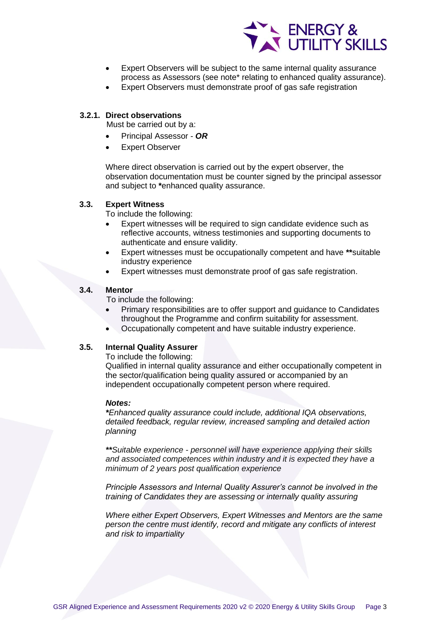

- Expert Observers will be subject to the same internal quality assurance process as Assessors (see note\* relating to enhanced quality assurance).
- Expert Observers must demonstrate proof of gas safe registration

## **3.2.1. Direct observations**

Must be carried out by a:

- Principal Assessor *OR*
- **Expert Observer**

Where direct observation is carried out by the expert observer, the observation documentation must be counter signed by the principal assessor and subject to **\***enhanced quality assurance.

#### **3.3. Expert Witness**

To include the following:

- Expert witnesses will be required to sign candidate evidence such as reflective accounts, witness testimonies and supporting documents to authenticate and ensure validity.
- Expert witnesses must be occupationally competent and have **\*\***suitable industry experience
- Expert witnesses must demonstrate proof of gas safe registration.

#### **3.4. Mentor**

To include the following:

- Primary responsibilities are to offer support and guidance to Candidates throughout the Programme and confirm suitability for assessment.
- Occupationally competent and have suitable industry experience.

#### **3.5. Internal Quality Assurer**

To include the following:

Qualified in internal quality assurance and either occupationally competent in the sector/qualification being quality assured or accompanied by an independent occupationally competent person where required.

#### *Notes:*

*\*Enhanced quality assurance could include, additional IQA observations, detailed feedback, regular review, increased sampling and detailed action planning* 

*\*\*Suitable experience - personnel will have experience applying their skills and associated competences within industry and it is expected they have a minimum of 2 years post qualification experience* 

*Principle Assessors and Internal Quality Assurer's cannot be involved in the training of Candidates they are assessing or internally quality assuring* 

*Where either Expert Observers, Expert Witnesses and Mentors are the same person the centre must identify, record and mitigate any conflicts of interest and risk to impartiality*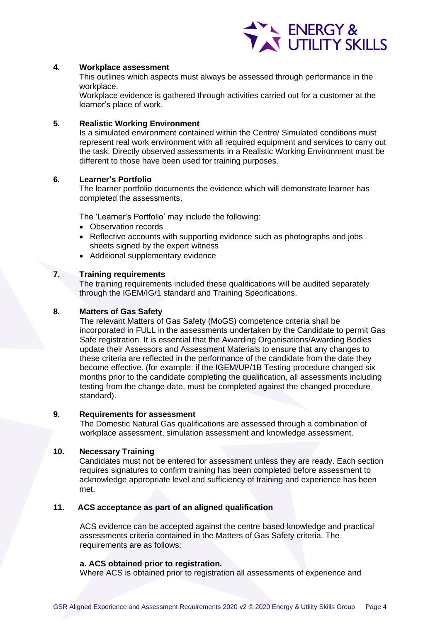

### **4. Workplace assessment**

This outlines which aspects must always be assessed through performance in the workplace.

Workplace evidence is gathered through activities carried out for a customer at the learner's place of work.

## **5. Realistic Working Environment**

Is a simulated environment contained within the Centre/ Simulated conditions must represent real work environment with all required equipment and services to carry out the task. Directly observed assessments in a Realistic Working Environment must be different to those have been used for training purposes.

## **6. Learner's Portfolio**

The learner portfolio documents the evidence which will demonstrate learner has completed the assessments.

The 'Learner's Portfolio' may include the following:

- Observation records
- Reflective accounts with supporting evidence such as photographs and jobs sheets signed by the expert witness
- Additional supplementary evidence

## **7. Training requirements**

The training requirements included these qualifications will be audited separately through the IGEM/IG/1 standard and Training Specifications.

## **8. Matters of Gas Safety**

The relevant Matters of Gas Safety (MoGS) competence criteria shall be incorporated in FULL in the assessments undertaken by the Candidate to permit Gas Safe registration. It is essential that the Awarding Organisations/Awarding Bodies update their Assessors and Assessment Materials to ensure that any changes to these criteria are reflected in the performance of the candidate from the date they become effective. (for example: if the IGEM/UP/1B Testing procedure changed six months prior to the candidate completing the qualification, all assessments including testing from the change date, must be completed against the changed procedure standard).

#### **9. Requirements for assessment**

The Domestic Natural Gas qualifications are assessed through a combination of workplace assessment, simulation assessment and knowledge assessment.

#### **10. Necessary Training**

Candidates must not be entered for assessment unless they are ready. Each section requires signatures to confirm training has been completed before assessment to acknowledge appropriate level and sufficiency of training and experience has been met.

## **11. ACS acceptance as part of an aligned qualification**

ACS evidence can be accepted against the centre based knowledge and practical assessments criteria contained in the Matters of Gas Safety criteria. The requirements are as follows:

#### **a. ACS obtained prior to registration.**

Where ACS is obtained prior to registration all assessments of experience and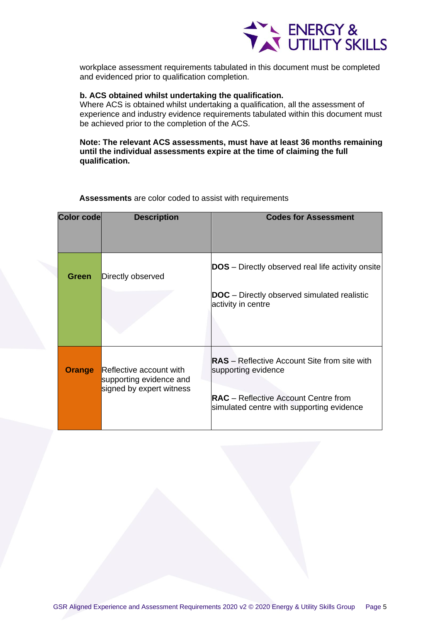

workplace assessment requirements tabulated in this document must be completed and evidenced prior to qualification completion.

#### **b. ACS obtained whilst undertaking the qualification.**

Where ACS is obtained whilst undertaking a qualification, all the assessment of experience and industry evidence requirements tabulated within this document must be achieved prior to the completion of the ACS.

## **Note: The relevant ACS assessments, must have at least 36 months remaining until the individual assessments expire at the time of claiming the full qualification.**

| <b>Color code</b> | <b>Description</b>                                                             | <b>Codes for Assessment</b>                                                                                                                                            |
|-------------------|--------------------------------------------------------------------------------|------------------------------------------------------------------------------------------------------------------------------------------------------------------------|
| Green             | Directly observed                                                              | <b>DOS</b> – Directly observed real life activity onsite                                                                                                               |
|                   |                                                                                | <b>DOC</b> – Directly observed simulated realistic<br>activity in centre                                                                                               |
| <b>Orange</b>     | Reflective account with<br>supporting evidence and<br>signed by expert witness | <b>RAS</b> – Reflective Account Site from site with<br>supporting evidence<br><b>RAC</b> – Reflective Account Centre from<br>simulated centre with supporting evidence |

**Assessments** are color coded to assist with requirements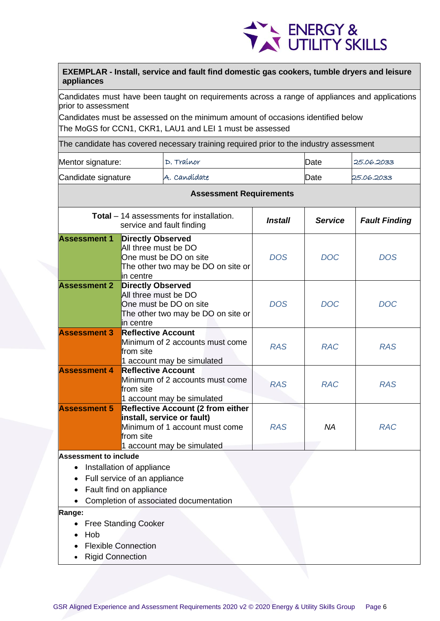

**EXEMPLAR - Install, service and fault find domestic gas cookers, tumble dryers and leisure appliances**

Candidates must have been taught on requirements across a range of appliances and applications prior to assessment

Candidates must be assessed on the minimum amount of occasions identified below The MoGS for CCN1, CKR1, LAU1 and LEI 1 must be assessed

| Mentor signature:                                                                                                                                                          |                                                                                                                                                   | D. Traínor                                                                   |                |                | 25.06.2033           |
|----------------------------------------------------------------------------------------------------------------------------------------------------------------------------|---------------------------------------------------------------------------------------------------------------------------------------------------|------------------------------------------------------------------------------|----------------|----------------|----------------------|
| Candidate signature                                                                                                                                                        | A. Candídate                                                                                                                                      |                                                                              | Date           | 25.06.2033     |                      |
|                                                                                                                                                                            |                                                                                                                                                   | <b>Assessment Requirements</b>                                               |                |                |                      |
|                                                                                                                                                                            |                                                                                                                                                   | <b>Total</b> – 14 assessments for installation.<br>service and fault finding | <b>Install</b> | <b>Service</b> | <b>Fault Finding</b> |
| <b>Assessment 1</b><br><b>Directly Observed</b><br>All three must be DO<br>One must be DO on site<br>The other two may be DO on site or<br>in centre                       |                                                                                                                                                   | <b>DOS</b>                                                                   | <b>DOC</b>     | <b>DOS</b>     |                      |
| <b>Assessment 2</b>                                                                                                                                                        | <b>Directly Observed</b><br>All three must be DO<br>One must be DO on site<br>The other two may be DO on site or<br>in centre                     |                                                                              | <b>DOS</b>     | <b>DOC</b>     | <b>DOC</b>           |
| <b>Assessment 3</b>                                                                                                                                                        | <b>Reflective Account</b><br>Minimum of 2 accounts must come<br>lfrom site<br>1 account may be simulated                                          |                                                                              | <b>RAS</b>     | <b>RAC</b>     | <b>RAS</b>           |
| <b>Assessment 4</b>                                                                                                                                                        | <b>Reflective Account</b><br>from site                                                                                                            | Minimum of 2 accounts must come<br>1 account may be simulated                | <b>RAS</b>     | <b>RAC</b>     | <b>RAS</b>           |
| <b>Assessment 5</b><br><b>Reflective Account (2 from either</b><br>install, service or fault)<br>Minimum of 1 account must come<br>from site<br>1 account may be simulated |                                                                                                                                                   | <b>RAS</b>                                                                   | <b>NA</b>      | <b>RAC</b>     |                      |
| <b>Assessment to include</b><br>$\bullet$<br>Range:<br>Hob                                                                                                                 | Installation of appliance<br>Full service of an appliance<br>Fault find on appliance<br><b>Free Standing Cooker</b><br><b>Flexible Connection</b> | Completion of associated documentation                                       |                |                |                      |
| <b>Rigid Connection</b>                                                                                                                                                    |                                                                                                                                                   |                                                                              |                |                |                      |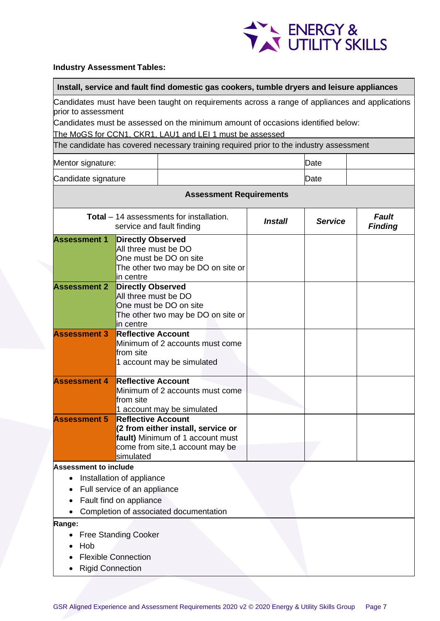

## **Industry Assessment Tables:**

#### **Install, service and fault find domestic gas cookers, tumble dryers and leisure appliances**

Candidates must have been taught on requirements across a range of appliances and applications prior to assessment

Candidates must be assessed on the minimum amount of occasions identified below:

The MoGS for CCN1, CKR1, LAU1 and LEI 1 must be assessed

| Mentor signature:   | Date |  |
|---------------------|------|--|
| Candidate signature | Date |  |

| <b>Assessment Requirements</b>                        |                                                                                                                                                     |         |                |                         |  |
|-------------------------------------------------------|-----------------------------------------------------------------------------------------------------------------------------------------------------|---------|----------------|-------------------------|--|
|                                                       | <b>Total</b> – 14 assessments for installation.<br>service and fault finding                                                                        | Install | <b>Service</b> | Fault<br><b>Finding</b> |  |
| <b>Assessment 1</b>                                   | <b>Directly Observed</b><br>All three must be DO<br>One must be DO on site<br>The other two may be DO on site or<br>in centre                       |         |                |                         |  |
| <b>Assessment 2</b>                                   | <b>Directly Observed</b><br>All three must be DO<br>One must be DO on site<br>The other two may be DO on site or<br>in centre                       |         |                |                         |  |
| <b>Assessment 3</b>                                   | <b>Reflective Account</b><br>Minimum of 2 accounts must come<br>from site<br>1 account may be simulated                                             |         |                |                         |  |
| <b>Assessment 4</b>                                   | <b>Reflective Account</b><br>Minimum of 2 accounts must come<br>from site<br>1 account may be simulated                                             |         |                |                         |  |
| <b>Assessment 5</b>                                   | <b>Reflective Account</b><br>(2 from either install, service or<br>fault) Minimum of 1 account must<br>come from site,1 account may be<br>simulated |         |                |                         |  |
| <b>Assessment to include</b><br>$\bullet$             | Installation of appliance<br>Full service of an appliance<br>Fault find on appliance<br>Completion of associated documentation                      |         |                |                         |  |
| Range:<br>$\bullet$<br>Hob<br><b>Rigid Connection</b> | <b>Free Standing Cooker</b><br><b>Flexible Connection</b>                                                                                           |         |                |                         |  |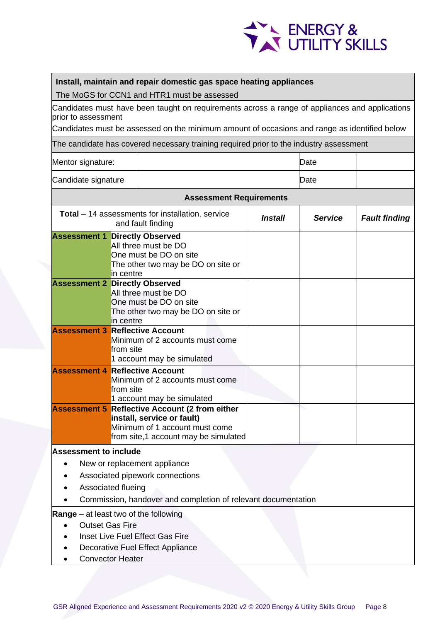

## **Install, maintain and repair domestic gas space heating appliances**

The MoGS for CCN1 and HTR1 must be assessed

Candidates must have been taught on requirements across a range of appliances and applications prior to assessment

Candidates must be assessed on the minimum amount of occasions and range as identified below

The candidate has covered necessary training required prior to the industry assessment

| Mentor signature: | Date |
|-------------------|------|
|                   |      |

Candidate signature Date

| Januluwa Jiyi luwo a                                                                                                                                                                   |                                                                                                                                                  |  | しいい |  |  |  |
|----------------------------------------------------------------------------------------------------------------------------------------------------------------------------------------|--------------------------------------------------------------------------------------------------------------------------------------------------|--|-----|--|--|--|
| <b>Assessment Requirements</b>                                                                                                                                                         |                                                                                                                                                  |  |     |  |  |  |
| Total - 14 assessments for installation. service<br><b>Service</b><br><b>Fault finding</b><br>Install<br>and fault finding                                                             |                                                                                                                                                  |  |     |  |  |  |
|                                                                                                                                                                                        | <b>Assessment 1 Directly Observed</b><br>All three must be DO<br>One must be DO on site<br>The other two may be DO on site or<br>in centre       |  |     |  |  |  |
|                                                                                                                                                                                        | <b>Assessment 2 Directly Observed</b><br>All three must be DO<br>One must be DO on site<br>The other two may be DO on site or<br>in centre       |  |     |  |  |  |
| <b>Assessment 3</b>                                                                                                                                                                    | <b>Reflective Account</b><br>Minimum of 2 accounts must come<br>from site<br>1 account may be simulated                                          |  |     |  |  |  |
| <b>Assessment 4</b>                                                                                                                                                                    | <b>Reflective Account</b><br>Minimum of 2 accounts must come<br>from site<br>1 account may be simulated                                          |  |     |  |  |  |
| <b>Assessment 5</b>                                                                                                                                                                    | <b>Reflective Account (2 from either</b><br>install, service or fault)<br>Minimum of 1 account must come<br>from site,1 account may be simulated |  |     |  |  |  |
| <b>Assessment to include</b><br>New or replacement appliance<br>Associated pipework connections<br>Associated flueing<br>Commission, handover and completion of relevant documentation |                                                                                                                                                  |  |     |  |  |  |
| <b>Outset Gas Fire</b>                                                                                                                                                                 | <b>Range</b> – at least two of the following<br>Inset Live Fuel Effect Gas Fire<br>Decorative Fuel Effect Appliance<br><b>Convector Heater</b>   |  |     |  |  |  |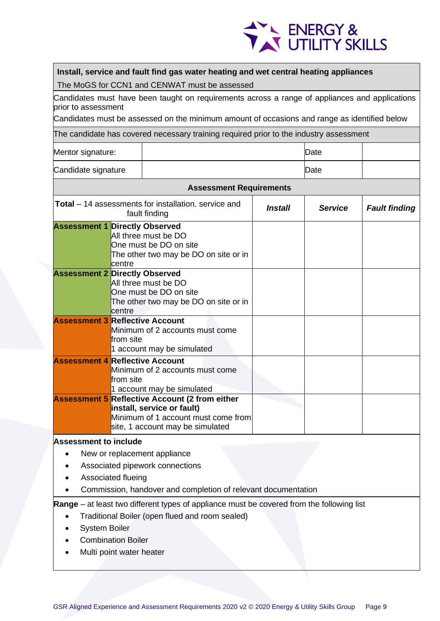

## **Install, service and fault find gas water heating and wet central heating appliances**

The MoGS for CCN1 and CENWAT must be assessed

Candidates must have been taught on requirements across a range of appliances and applications prior to assessment

Candidates must be assessed on the minimum amount of occasions and range as identified below

The candidate has covered necessary training required prior to the industry assessment

| Mentor signature:   | Date |  |
|---------------------|------|--|
| Candidate signature | Date |  |

| <b>Assessment Requirements</b> |                                                                                                                                                                |                       |                |                      |  |
|--------------------------------|----------------------------------------------------------------------------------------------------------------------------------------------------------------|-----------------------|----------------|----------------------|--|
|                                | <b>Total</b> – 14 assessments for installation. service and<br>fault finding                                                                                   | <i><b>Install</b></i> | <b>Service</b> | <b>Fault finding</b> |  |
|                                | <b>Assessment 1 Directly Observed</b><br>All three must be DO<br>One must be DO on site<br>The other two may be DO on site or in<br>lcentre                    |                       |                |                      |  |
|                                | <b>Assessment 2 Directly Observed</b><br>All three must be DO<br>One must be DO on site<br>The other two may be DO on site or in<br>lcentre                    |                       |                |                      |  |
|                                | <b>Assessment 3 Reflective Account</b><br>Minimum of 2 accounts must come<br>from site<br>1 account may be simulated                                           |                       |                |                      |  |
|                                | <b>Assessment 4 Reflective Account</b><br>Minimum of 2 accounts must come<br>from site<br>1 account may be simulated                                           |                       |                |                      |  |
|                                | <b>Assessment 5 Reflective Account (2 from either</b><br>install, service or fault)<br>Minimum of 1 account must come from<br>site, 1 account may be simulated |                       |                |                      |  |
| <b>Assessment to include</b>   |                                                                                                                                                                |                       |                |                      |  |

- New or replacement appliance
- Associated pipework connections
- Associated flueing
- Commission, handover and completion of relevant documentation

**Range** – at least two different types of appliance must be covered from the following list

- Traditional Boiler (open flued and room sealed)
- System Boiler
- Combination Boiler
- Multi point water heater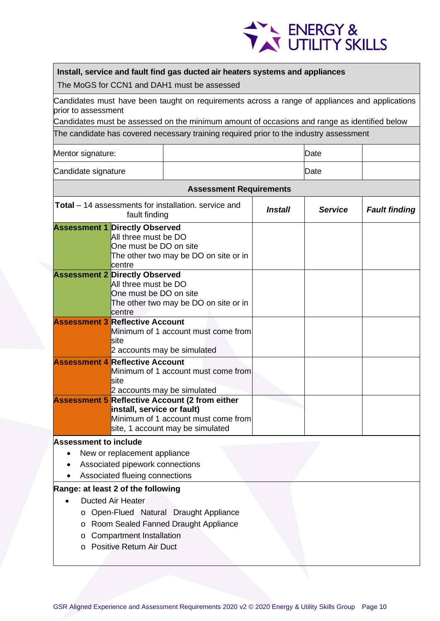

## **Install, service and fault find gas ducted air heaters systems and appliances**

The MoGS for CCN1 and DAH1 must be assessed

Candidates must have been taught on requirements across a range of appliances and applications prior to assessment

Candidates must be assessed on the minimum amount of occasions and range as identified below

The candidate has covered necessary training required prior to the industry assessment

| Mentor signature:   | Date |  |
|---------------------|------|--|
| Candidate signature | Date |  |

## **Assessment Requirements**

|                                     | <b>Fault finding</b> |
|-------------------------------------|----------------------|
|                                     |                      |
|                                     |                      |
|                                     |                      |
|                                     |                      |
|                                     |                      |
|                                     |                      |
|                                     |                      |
|                                     |                      |
|                                     |                      |
| Minimum of 1 account must come from |                      |

o Positive Return Air Duct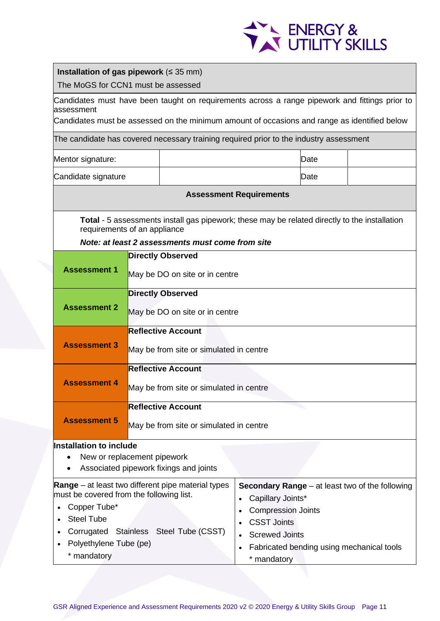

|                                                                                                         | Installation of gas pipework ( $\leq$ 35 mm)<br>The MoGS for CCN1 must be assessed                                                                                                             |                                                                                                      |                                             |      |                                                 |  |
|---------------------------------------------------------------------------------------------------------|------------------------------------------------------------------------------------------------------------------------------------------------------------------------------------------------|------------------------------------------------------------------------------------------------------|---------------------------------------------|------|-------------------------------------------------|--|
| assessment                                                                                              | Candidates must have been taught on requirements across a range pipework and fittings prior to<br>Candidates must be assessed on the minimum amount of occasions and range as identified below |                                                                                                      |                                             |      |                                                 |  |
|                                                                                                         |                                                                                                                                                                                                |                                                                                                      |                                             |      |                                                 |  |
|                                                                                                         | The candidate has covered necessary training required prior to the industry assessment                                                                                                         |                                                                                                      |                                             |      |                                                 |  |
| Mentor signature:                                                                                       |                                                                                                                                                                                                |                                                                                                      |                                             | Date |                                                 |  |
| Candidate signature                                                                                     |                                                                                                                                                                                                |                                                                                                      |                                             | Date |                                                 |  |
|                                                                                                         |                                                                                                                                                                                                |                                                                                                      | <b>Assessment Requirements</b>              |      |                                                 |  |
| requirements of an appliance                                                                            |                                                                                                                                                                                                | <b>Total - 5</b> assessments install gas pipework; these may be related directly to the installation |                                             |      |                                                 |  |
|                                                                                                         |                                                                                                                                                                                                | Note: at least 2 assessments must come from site                                                     |                                             |      |                                                 |  |
| <b>Assessment 1</b>                                                                                     |                                                                                                                                                                                                | <b>Directly Observed</b><br>May be DO on site or in centre                                           |                                             |      |                                                 |  |
|                                                                                                         |                                                                                                                                                                                                | <b>Directly Observed</b>                                                                             |                                             |      |                                                 |  |
| <b>Assessment 2</b>                                                                                     |                                                                                                                                                                                                | May be DO on site or in centre                                                                       |                                             |      |                                                 |  |
|                                                                                                         |                                                                                                                                                                                                | <b>Reflective Account</b>                                                                            |                                             |      |                                                 |  |
| <b>Assessment 3</b>                                                                                     |                                                                                                                                                                                                | May be from site or simulated in centre                                                              |                                             |      |                                                 |  |
|                                                                                                         |                                                                                                                                                                                                | <b>Reflective Account</b>                                                                            |                                             |      |                                                 |  |
| <b>Assessment 4</b>                                                                                     |                                                                                                                                                                                                | May be from site or simulated in centre                                                              |                                             |      |                                                 |  |
|                                                                                                         |                                                                                                                                                                                                | <b>Reflective Account</b>                                                                            |                                             |      |                                                 |  |
| <b>Assessment 5</b>                                                                                     |                                                                                                                                                                                                | May be from site or simulated in centre                                                              |                                             |      |                                                 |  |
| <b>Installation to include</b><br>New or replacement pipework<br>Associated pipework fixings and joints |                                                                                                                                                                                                |                                                                                                      |                                             |      |                                                 |  |
| <b>Range</b> $-$ at least two different pipe material types                                             |                                                                                                                                                                                                |                                                                                                      |                                             |      | Secondary Range – at least two of the following |  |
| must be covered from the following list.<br>$\bullet$                                                   |                                                                                                                                                                                                |                                                                                                      | Capillary Joints*                           |      |                                                 |  |
| Copper Tube*<br>$\bullet$<br><b>Steel Tube</b>                                                          |                                                                                                                                                                                                |                                                                                                      | <b>Compression Joints</b>                   |      |                                                 |  |
| $\bullet$                                                                                               |                                                                                                                                                                                                | Corrugated Stainless Steel Tube (CSST)                                                               | <b>CSST Joints</b><br><b>Screwed Joints</b> |      |                                                 |  |
| Polyethylene Tube (pe)<br>$\bullet$                                                                     |                                                                                                                                                                                                |                                                                                                      | $\bullet$                                   |      | Fabricated bending using mechanical tools       |  |
| * mandatory<br>* mandatory                                                                              |                                                                                                                                                                                                |                                                                                                      |                                             |      |                                                 |  |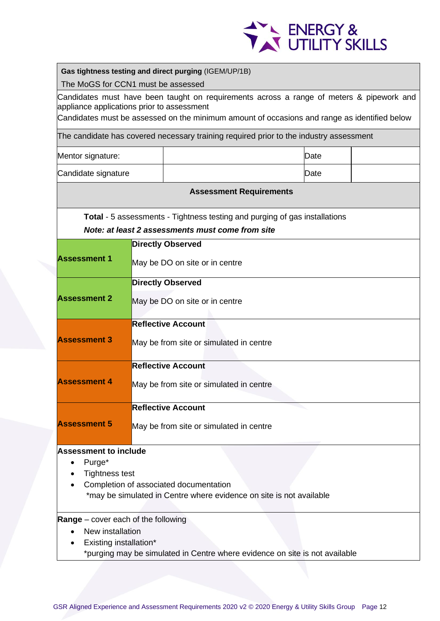

| The MoGS for CCN1 must be assessed                              |                                | Gas tightness testing and direct purging (IGEM/UP/1B)                                        |      |  |  |  |
|-----------------------------------------------------------------|--------------------------------|----------------------------------------------------------------------------------------------|------|--|--|--|
|                                                                 |                                | Candidates must have been taught on requirements across a range of meters & pipework and     |      |  |  |  |
| appliance applications prior to assessment                      |                                |                                                                                              |      |  |  |  |
|                                                                 |                                | Candidates must be assessed on the minimum amount of occasions and range as identified below |      |  |  |  |
|                                                                 |                                | The candidate has covered necessary training required prior to the industry assessment       |      |  |  |  |
| Mentor signature:                                               |                                |                                                                                              | Date |  |  |  |
| Candidate signature                                             |                                |                                                                                              | Date |  |  |  |
|                                                                 |                                | <b>Assessment Requirements</b>                                                               |      |  |  |  |
|                                                                 |                                | <b>Total - 5</b> assessments - Tightness testing and purging of gas installations            |      |  |  |  |
|                                                                 |                                | Note: at least 2 assessments must come from site                                             |      |  |  |  |
|                                                                 |                                | <b>Directly Observed</b>                                                                     |      |  |  |  |
| <b>Assessment 1</b>                                             |                                | May be DO on site or in centre                                                               |      |  |  |  |
|                                                                 |                                | <b>Directly Observed</b>                                                                     |      |  |  |  |
| <b>Assessment 2</b>                                             | May be DO on site or in centre |                                                                                              |      |  |  |  |
|                                                                 |                                | <b>Reflective Account</b>                                                                    |      |  |  |  |
| <b>Assessment 3</b>                                             |                                |                                                                                              |      |  |  |  |
|                                                                 |                                | May be from site or simulated in centre                                                      |      |  |  |  |
|                                                                 |                                | <b>Reflective Account</b>                                                                    |      |  |  |  |
| <b>Assessment 4</b>                                             |                                | May be from site or simulated in centre                                                      |      |  |  |  |
|                                                                 |                                | <b>Reflective Account</b>                                                                    |      |  |  |  |
| <b>Assessment 5</b>                                             |                                | May be from site or simulated in centre                                                      |      |  |  |  |
| <b>Assessment to include</b>                                    |                                |                                                                                              |      |  |  |  |
| Purge*                                                          |                                |                                                                                              |      |  |  |  |
| <b>Tightness test</b><br>Completion of associated documentation |                                |                                                                                              |      |  |  |  |
|                                                                 |                                | *may be simulated in Centre where evidence on site is not available                          |      |  |  |  |
| <b>Range</b> – cover each of the following                      |                                |                                                                                              |      |  |  |  |
| New installation                                                |                                |                                                                                              |      |  |  |  |
| Existing installation*                                          |                                | *purging may be simulated in Centre where evidence on site is not available                  |      |  |  |  |
|                                                                 |                                |                                                                                              |      |  |  |  |

Г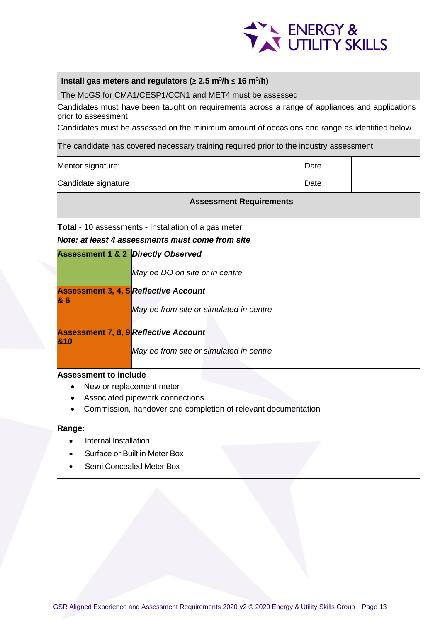

## **Install gas meters and regulators (≥ 2.5 m<sup>3</sup> /h ≤ 16 m<sup>3</sup> /h)**

The MoGS for CMA1/CESP1/CCN1 and MET4 must be assessed

Candidates must have been taught on requirements across a range of appliances and applications prior to assessment

Candidates must be assessed on the minimum amount of occasions and range as identified below

The candidate has covered necessary training required prior to the industry assessment

| Mentor signature:   | Date |  |
|---------------------|------|--|
| Candidate signature | Date |  |

#### **Assessment Requirements**

**Total** - 10 assessments - Installation of a gas meter

*Note: at least 4 assessments must come from site*

| <b>Assessment 1 &amp; 2 Directly Observed</b>                 |                                              |  |  |  |
|---------------------------------------------------------------|----------------------------------------------|--|--|--|
|                                                               | May be DO on site or in centre               |  |  |  |
|                                                               | <b>Assessment 3, 4, 5 Reflective Account</b> |  |  |  |
| 86                                                            | May be from site or simulated in centre      |  |  |  |
|                                                               | <b>Assessment 7, 8, 9 Reflective Account</b> |  |  |  |
| 810                                                           | May be from site or simulated in centre      |  |  |  |
| Assessment to include                                         |                                              |  |  |  |
| ٠                                                             | New or replacement meter                     |  |  |  |
| Associated pipework connections<br>$\bullet$                  |                                              |  |  |  |
| Commission, handover and completion of relevant documentation |                                              |  |  |  |
| Range:                                                        |                                              |  |  |  |
| Internal Installation                                         |                                              |  |  |  |

- Surface or Built in Meter Box
- Semi Concealed Meter Box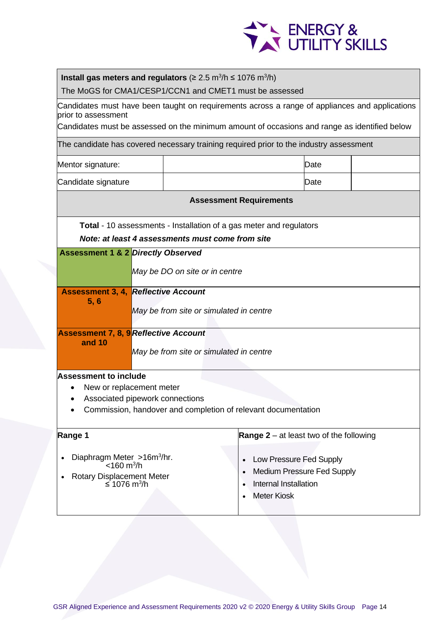

## **Install gas meters and regulators** (≥ 2.5 m<sup>3</sup>/h ≤ 1076 m<sup>3</sup>/h)

The MoGS for CMA1/CESP1/CCN1 and CMET1 must be assessed

Candidates must have been taught on requirements across a range of appliances and applications prior to assessment

Candidates must be assessed on the minimum amount of occasions and range as identified below

The candidate has covered necessary training required prior to the industry assessment

| Mentor signature:   | Date |  |
|---------------------|------|--|
| Candidate signature | Date |  |

#### **Assessment Requirements**

**Total** - 10 assessments - Installation of a gas meter and regulators

*Note: at least 4 assessments must come from site*

|                                                                                | <b>Assessment 1 &amp; 2 Directly Observed</b> |                                                               |  |  |  |  |  |
|--------------------------------------------------------------------------------|-----------------------------------------------|---------------------------------------------------------------|--|--|--|--|--|
|                                                                                | May be DO on site or in centre                |                                                               |  |  |  |  |  |
| <b>Assessment 3, 4, Reflective Account</b><br>5, 6                             |                                               |                                                               |  |  |  |  |  |
|                                                                                | May be from site or simulated in centre       |                                                               |  |  |  |  |  |
| <b>Assessment 7, 8, 9 Reflective Account</b><br>and 10                         |                                               |                                                               |  |  |  |  |  |
|                                                                                | May be from site or simulated in centre       |                                                               |  |  |  |  |  |
| <b>Assessment to include</b>                                                   |                                               |                                                               |  |  |  |  |  |
| New or replacement meter<br>٠                                                  |                                               |                                                               |  |  |  |  |  |
| Associated pipework connections                                                |                                               |                                                               |  |  |  |  |  |
|                                                                                |                                               | Commission, handover and completion of relevant documentation |  |  |  |  |  |
| <b>Range 1</b><br><b>Range 2</b> – at least two of the following               |                                               |                                                               |  |  |  |  |  |
| Diaphragm Meter $>16m^3/hr$ .<br>$\bullet$<br>Low Pressure Fed Supply          |                                               |                                                               |  |  |  |  |  |
| $<$ 160 m <sup>3</sup> /h<br><b>Medium Pressure Fed Supply</b>                 |                                               |                                                               |  |  |  |  |  |
| Rotary Displacement Meter<br>Internal Installation<br>≤ 1076 m <sup>3</sup> /h |                                               |                                                               |  |  |  |  |  |
|                                                                                |                                               | <b>Meter Kiosk</b>                                            |  |  |  |  |  |
|                                                                                |                                               |                                                               |  |  |  |  |  |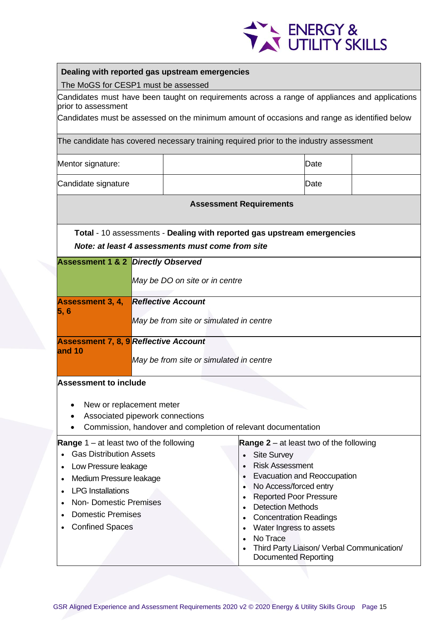

| Dealing with reported gas upstream emergencies                                                                        |                                            |                                                                                    |      |  |  |
|-----------------------------------------------------------------------------------------------------------------------|--------------------------------------------|------------------------------------------------------------------------------------|------|--|--|
| The MoGS for CESP1 must be assessed                                                                                   |                                            |                                                                                    |      |  |  |
| Candidates must have been taught on requirements across a range of appliances and applications<br>prior to assessment |                                            |                                                                                    |      |  |  |
| Candidates must be assessed on the minimum amount of occasions and range as identified below                          |                                            |                                                                                    |      |  |  |
|                                                                                                                       |                                            |                                                                                    |      |  |  |
| The candidate has covered necessary training required prior to the industry assessment                                |                                            |                                                                                    |      |  |  |
| Mentor signature:                                                                                                     | Date                                       |                                                                                    |      |  |  |
| Candidate signature                                                                                                   |                                            |                                                                                    | Date |  |  |
|                                                                                                                       |                                            | <b>Assessment Requirements</b>                                                     |      |  |  |
| Total - 10 assessments - Dealing with reported gas upstream emergencies                                               |                                            |                                                                                    |      |  |  |
| Note: at least 4 assessments must come from site                                                                      |                                            |                                                                                    |      |  |  |
| <b>Assessment 1 &amp; 2 Directly Observed</b>                                                                         |                                            |                                                                                    |      |  |  |
|                                                                                                                       |                                            |                                                                                    |      |  |  |
|                                                                                                                       | May be DO on site or in centre             |                                                                                    |      |  |  |
| <b>Assessment 3, 4,</b>                                                                                               | <b>Reflective Account</b>                  |                                                                                    |      |  |  |
| 5,6<br>May be from site or simulated in centre                                                                        |                                            |                                                                                    |      |  |  |
|                                                                                                                       |                                            |                                                                                    |      |  |  |
| <b>Assessment 7, 8, 9 Reflective Account</b>                                                                          |                                            |                                                                                    |      |  |  |
| and 10                                                                                                                | May be from site or simulated in centre    |                                                                                    |      |  |  |
|                                                                                                                       |                                            |                                                                                    |      |  |  |
| <b>Assessment to include</b>                                                                                          |                                            |                                                                                    |      |  |  |
|                                                                                                                       |                                            |                                                                                    |      |  |  |
| New or replacement meter                                                                                              |                                            |                                                                                    |      |  |  |
| Associated pipework connections<br>Commission, handover and completion of relevant documentation                      |                                            |                                                                                    |      |  |  |
|                                                                                                                       |                                            |                                                                                    |      |  |  |
| <b>Range</b> $1 - at least two of the following$                                                                      |                                            | Range $2 - at$ least two of the following                                          |      |  |  |
| <b>Gas Distribution Assets</b>                                                                                        |                                            | <b>Site Survey</b><br>$\bullet$<br><b>Risk Assessment</b>                          |      |  |  |
| Low Pressure leakage                                                                                                  |                                            | <b>Evacuation and Reoccupation</b>                                                 |      |  |  |
| Medium Pressure leakage<br>No Access/forced entry<br>$\bullet$<br><b>LPG</b> Installations                            |                                            |                                                                                    |      |  |  |
| <b>Non-Domestic Premises</b>                                                                                          |                                            | <b>Reported Poor Pressure</b><br>$\bullet$                                         |      |  |  |
| <b>Domestic Premises</b>                                                                                              |                                            | <b>Detection Methods</b>                                                           |      |  |  |
| <b>Confined Spaces</b>                                                                                                |                                            | <b>Concentration Readings</b><br>$\bullet$<br>Water Ingress to assets<br>$\bullet$ |      |  |  |
|                                                                                                                       |                                            | No Trace<br>$\bullet$                                                              |      |  |  |
|                                                                                                                       | Third Party Liaison/ Verbal Communication/ |                                                                                    |      |  |  |
| <b>Documented Reporting</b>                                                                                           |                                            |                                                                                    |      |  |  |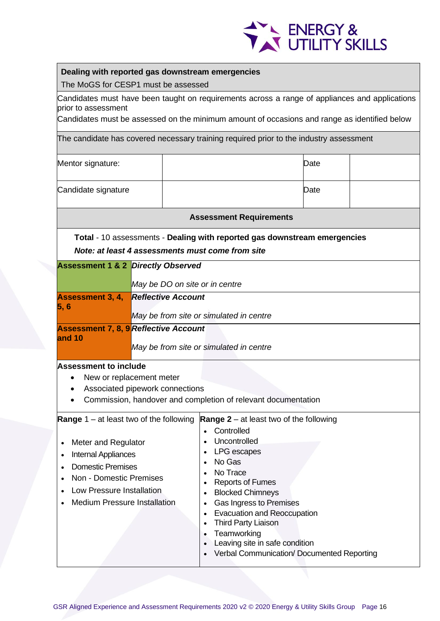

## **Dealing with reported gas downstream emergencies**

The MoGS for CESP1 must be assessed

Candidates must have been taught on requirements across a range of appliances and applications prior to assessment

Candidates must be assessed on the minimum amount of occasions and range as identified below

| Mentor signature:                                                                                                                                                                                                                                                                                                                                                                                                                                                                                                                                                                                                                                 | Date                                                                                                                                                         |                                                                           |  |  |  |
|---------------------------------------------------------------------------------------------------------------------------------------------------------------------------------------------------------------------------------------------------------------------------------------------------------------------------------------------------------------------------------------------------------------------------------------------------------------------------------------------------------------------------------------------------------------------------------------------------------------------------------------------------|--------------------------------------------------------------------------------------------------------------------------------------------------------------|---------------------------------------------------------------------------|--|--|--|
| Candidate signature                                                                                                                                                                                                                                                                                                                                                                                                                                                                                                                                                                                                                               |                                                                                                                                                              | Date                                                                      |  |  |  |
|                                                                                                                                                                                                                                                                                                                                                                                                                                                                                                                                                                                                                                                   |                                                                                                                                                              | <b>Assessment Requirements</b>                                            |  |  |  |
|                                                                                                                                                                                                                                                                                                                                                                                                                                                                                                                                                                                                                                                   |                                                                                                                                                              | Total - 10 assessments - Dealing with reported gas downstream emergencies |  |  |  |
|                                                                                                                                                                                                                                                                                                                                                                                                                                                                                                                                                                                                                                                   |                                                                                                                                                              | Note: at least 4 assessments must come from site                          |  |  |  |
| <b>Assessment 1 &amp; 2 Directly Observed</b>                                                                                                                                                                                                                                                                                                                                                                                                                                                                                                                                                                                                     |                                                                                                                                                              |                                                                           |  |  |  |
|                                                                                                                                                                                                                                                                                                                                                                                                                                                                                                                                                                                                                                                   |                                                                                                                                                              | May be DO on site or in centre                                            |  |  |  |
| <b>Assessment 3, 4,</b>                                                                                                                                                                                                                                                                                                                                                                                                                                                                                                                                                                                                                           | <b>Reflective Account</b>                                                                                                                                    |                                                                           |  |  |  |
| 5,6                                                                                                                                                                                                                                                                                                                                                                                                                                                                                                                                                                                                                                               |                                                                                                                                                              | May be from site or simulated in centre                                   |  |  |  |
| <b>Assessment 7, 8, 9 Reflective Account</b>                                                                                                                                                                                                                                                                                                                                                                                                                                                                                                                                                                                                      |                                                                                                                                                              |                                                                           |  |  |  |
| and 10                                                                                                                                                                                                                                                                                                                                                                                                                                                                                                                                                                                                                                            |                                                                                                                                                              |                                                                           |  |  |  |
|                                                                                                                                                                                                                                                                                                                                                                                                                                                                                                                                                                                                                                                   |                                                                                                                                                              | May be from site or simulated in centre                                   |  |  |  |
|                                                                                                                                                                                                                                                                                                                                                                                                                                                                                                                                                                                                                                                   | <b>Assessment to include</b><br>New or replacement meter<br>Associated pipework connections<br>Commission, handover and completion of relevant documentation |                                                                           |  |  |  |
| <b>Range</b> $1 - at least two of the following$<br><b>Range 2</b> – at least two of the following<br>Controlled<br>Uncontrolled<br>Meter and Regulator<br>$\bullet$<br><b>LPG</b> escapes<br><b>Internal Appliances</b><br>$\bullet$<br>No Gas<br><b>Domestic Premises</b><br>No Trace<br>Non - Domestic Premises<br><b>Reports of Fumes</b><br>Low Pressure Installation<br><b>Blocked Chimneys</b><br><b>Medium Pressure Installation</b><br><b>Gas Ingress to Premises</b><br><b>Evacuation and Reoccupation</b><br><b>Third Party Liaison</b><br>Teamworking<br>Leaving site in safe condition<br>Verbal Communication/ Documented Reporting |                                                                                                                                                              |                                                                           |  |  |  |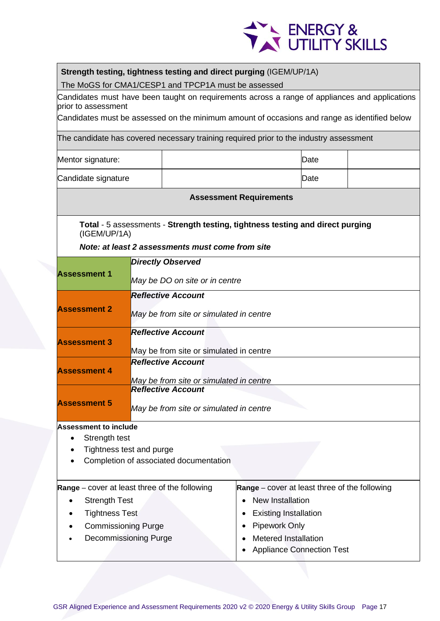

## **Strength testing, tightness testing and direct purging** (IGEM/UP/1A)

The MoGS for CMA1/CESP1 and TPCP1A must be assessed

Candidates must have been taught on requirements across a range of appliances and applications prior to assessment

Candidates must be assessed on the minimum amount of occasions and range as identified below

The candidate has covered necessary training required prior to the industry assessment

| Mentor signature:   | Date |  |
|---------------------|------|--|
| Candidate signature | Date |  |

#### **Assessment Requirements**

**Total** - 5 assessments - **Strength testing, tightness testing and direct purging** (IGEM/UP/1A)

*Note: at least 2 assessments must come from site*

|                              | <b>Directly Observed</b>                             |                                                      |
|------------------------------|------------------------------------------------------|------------------------------------------------------|
| <b>Assessment 1</b>          | May be DO on site or in centre                       |                                                      |
|                              | <b>Reflective Account</b>                            |                                                      |
| <b>Assessment 2</b>          | May be from site or simulated in centre              |                                                      |
|                              | <b>Reflective Account</b>                            |                                                      |
| <b>Assessment 3</b>          | May be from site or simulated in centre              |                                                      |
|                              | <b>Reflective Account</b>                            |                                                      |
| <b>Assessment 4</b>          | May be from site or simulated in centre              |                                                      |
|                              | <b>Reflective Account</b>                            |                                                      |
| <b>Assessment 5</b>          | May be from site or simulated in centre              |                                                      |
| <b>Assessment to include</b> |                                                      |                                                      |
| Strength test                |                                                      |                                                      |
|                              | Tightness test and purge                             |                                                      |
|                              | Completion of associated documentation               |                                                      |
|                              | <b>Range</b> – cover at least three of the following | <b>Range</b> – cover at least three of the following |
|                              |                                                      |                                                      |

| Range – cover at least three of the following | Range - cover at least three of the follo |
|-----------------------------------------------|-------------------------------------------|
| <b>Strength Test</b>                          | • New Installation                        |
| <b>Tightness Test</b><br>$\bullet$            | • Existing Installation                   |
| <b>Commissioning Purge</b><br>$\bullet$       | • Pipework Only                           |
| <b>Decommissioning Purge</b><br>$\bullet$     | <b>Metered Installation</b>               |
|                                               |                                           |

• Appliance Connection Test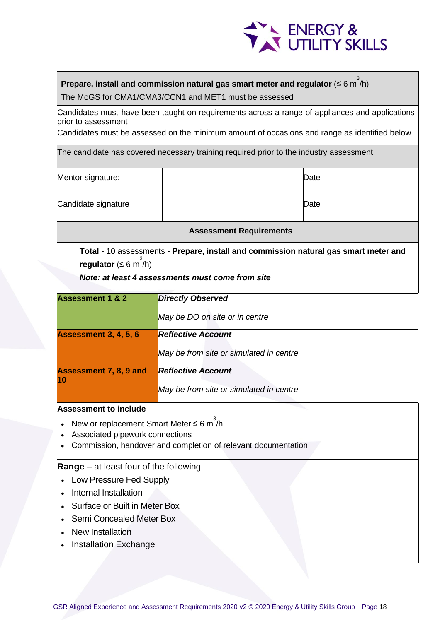

## **Prepare, install and commission natural gas smart meter and regulator (≤ 6 m<sup>3</sup>/h)**

The MoGS for CMA1/CMA3/CCN1 and MET1 must be assessed

Candidates must have been taught on requirements across a range of appliances and applications prior to assessment

Candidates must be assessed on the minimum amount of occasions and range as identified below

The candidate has covered necessary training required prior to the industry assessment

| Mentor signature:   | Date |  |
|---------------------|------|--|
| Candidate signature | Date |  |

**Assessment Requirements** 

**Total** - 10 assessments - **Prepare, install and commission natural gas smart meter and regulator** (≤ 6 m<sup>3</sup>/h)

## *Note: at least 4 assessments must come from site*

| <b>Assessment 1 &amp; 2</b>   | <b>Directly Observed</b>                |
|-------------------------------|-----------------------------------------|
|                               | May be DO on site or in centre          |
| <b>Assessment 3, 4, 5, 6</b>  | <b>Reflective Account</b>               |
|                               | May be from site or simulated in centre |
| <b>Assessment 7, 8, 9 and</b> | <b>Reflective Account</b>               |
| 10                            | May be from site or simulated in centre |

#### **Assessment to include**

- New or replacement Smart Meter  $\leq 6$  m<sup>3</sup>/h
- Associated pipework connections
- Commission, handover and completion of relevant documentation

## **Range** – at least four of the following

- Low Pressure Fed Supply
- Internal Installation
- Surface or Built in Meter Box
- Semi Concealed Meter Box
- New Installation
- Installation Exchange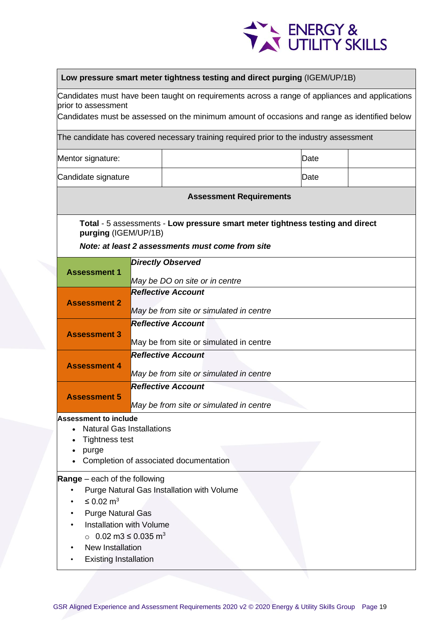

#### **Low pressure smart meter tightness testing and direct purging** (IGEM/UP/1B)

Candidates must have been taught on requirements across a range of appliances and applications prior to assessment

Candidates must be assessed on the minimum amount of occasions and range as identified below

| Mentor signature:                                                                                                                                                                                                                                                       | Date                                    |                                |                                                                               |  |  |  |
|-------------------------------------------------------------------------------------------------------------------------------------------------------------------------------------------------------------------------------------------------------------------------|-----------------------------------------|--------------------------------|-------------------------------------------------------------------------------|--|--|--|
| Candidate signature<br>Date                                                                                                                                                                                                                                             |                                         |                                |                                                                               |  |  |  |
|                                                                                                                                                                                                                                                                         |                                         |                                | <b>Assessment Requirements</b>                                                |  |  |  |
| purging (IGEM/UP/1B)                                                                                                                                                                                                                                                    |                                         |                                | Total - 5 assessments - Low pressure smart meter tightness testing and direct |  |  |  |
|                                                                                                                                                                                                                                                                         |                                         |                                | Note: at least 2 assessments must come from site                              |  |  |  |
|                                                                                                                                                                                                                                                                         |                                         | <b>Directly Observed</b>       |                                                                               |  |  |  |
| <b>Assessment 1</b>                                                                                                                                                                                                                                                     |                                         | May be DO on site or in centre |                                                                               |  |  |  |
| <b>Assessment 2</b>                                                                                                                                                                                                                                                     |                                         | <b>Reflective Account</b>      | May be from site or simulated in centre                                       |  |  |  |
|                                                                                                                                                                                                                                                                         |                                         | <b>Reflective Account</b>      |                                                                               |  |  |  |
| <b>Assessment 3</b>                                                                                                                                                                                                                                                     | May be from site or simulated in centre |                                |                                                                               |  |  |  |
| <b>Assessment 4</b>                                                                                                                                                                                                                                                     |                                         | <b>Reflective Account</b>      |                                                                               |  |  |  |
|                                                                                                                                                                                                                                                                         |                                         |                                | May be from site or simulated in centre                                       |  |  |  |
| <b>Assessment 5</b>                                                                                                                                                                                                                                                     |                                         | <b>Reflective Account</b>      |                                                                               |  |  |  |
|                                                                                                                                                                                                                                                                         |                                         |                                | May be from site or simulated in centre                                       |  |  |  |
| <b>Assessment to include</b><br><b>Natural Gas Installations</b><br><b>Tightness test</b><br>purge<br>Completion of associated documentation                                                                                                                            |                                         |                                |                                                                               |  |  |  |
| <b>Range</b> $-$ each of the following<br>Purge Natural Gas Installation with Volume<br>$\leq$ 0.02 m <sup>3</sup><br><b>Purge Natural Gas</b><br>Installation with Volume<br>○ 0.02 m3 $\leq$ 0.035 m <sup>3</sup><br>New Installation<br><b>Existing Installation</b> |                                         |                                |                                                                               |  |  |  |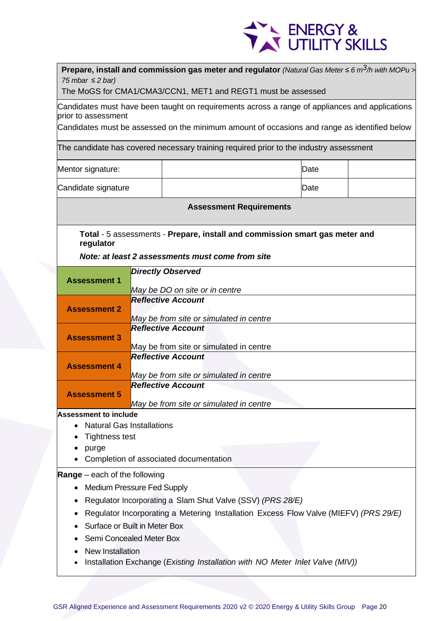

| 75 mbar $\leq$ 2 bar)                                          |                                                                                                | <b>Prepare, install and commission gas meter and regulator</b> (Natural Gas Meter $\leq 6$ m <sup>3</sup> /h with MOPu ><br>The MoGS for CMA1/CMA3/CCN1, MET1 and REGT1 must be assessed                                            |      |  |  |
|----------------------------------------------------------------|------------------------------------------------------------------------------------------------|-------------------------------------------------------------------------------------------------------------------------------------------------------------------------------------------------------------------------------------|------|--|--|
| prior to assessment                                            |                                                                                                | Candidates must have been taught on requirements across a range of appliances and applications<br>Candidates must be assessed on the minimum amount of occasions and range as identified below                                      |      |  |  |
|                                                                |                                                                                                | The candidate has covered necessary training required prior to the industry assessment                                                                                                                                              |      |  |  |
| Mentor signature:                                              |                                                                                                |                                                                                                                                                                                                                                     | Date |  |  |
| Candidate signature                                            |                                                                                                |                                                                                                                                                                                                                                     | Date |  |  |
|                                                                |                                                                                                | <b>Assessment Requirements</b>                                                                                                                                                                                                      |      |  |  |
| regulator                                                      |                                                                                                | Total - 5 assessments - Prepare, install and commission smart gas meter and                                                                                                                                                         |      |  |  |
|                                                                |                                                                                                | Note: at least 2 assessments must come from site                                                                                                                                                                                    |      |  |  |
| <b>Assessment 1</b>                                            |                                                                                                | <b>Directly Observed</b><br>May be DO on site or in centre                                                                                                                                                                          |      |  |  |
| <b>Assessment 2</b>                                            |                                                                                                | <b>Reflective Account</b><br>May be from site or simulated in centre                                                                                                                                                                |      |  |  |
| <b>Assessment 3</b>                                            |                                                                                                | <b>Reflective Account</b>                                                                                                                                                                                                           |      |  |  |
| <b>Assessment 4</b>                                            |                                                                                                | May be from site or simulated in centre<br><b>Reflective Account</b><br>May be from site or simulated in centre                                                                                                                     |      |  |  |
| <b>Assessment 5</b>                                            | <b>Reflective Account</b><br>May be from site or simulated in centre                           |                                                                                                                                                                                                                                     |      |  |  |
| <b>Assessment to include</b><br><b>Tightness test</b><br>purge | <b>Natural Gas Installations</b>                                                               | Completion of associated documentation                                                                                                                                                                                              |      |  |  |
| <b>Range</b> – each of the following<br>New Installation       | <b>Medium Pressure Fed Supply</b><br>Surface or Built in Meter Box<br>Semi Concealed Meter Box | Regulator Incorporating a Slam Shut Valve (SSV) (PRS 28/E)<br>Regulator Incorporating a Metering Installation Excess Flow Valve (MIEFV) (PRS 29/E)<br>Installation Exchange (Existing Installation with NO Meter Inlet Valve (MIV)) |      |  |  |
|                                                                |                                                                                                |                                                                                                                                                                                                                                     |      |  |  |